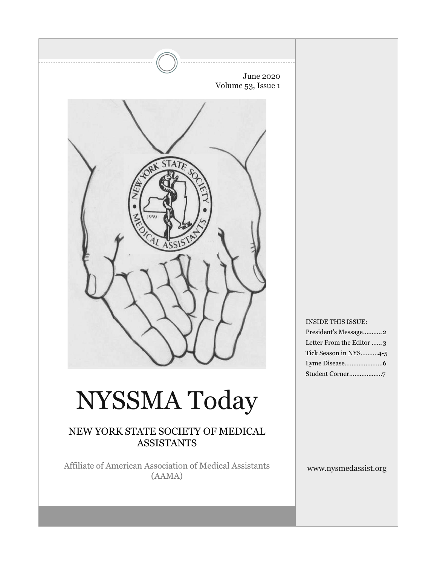

# NYSSMA Today

## NEW YORK STATE SOCIETY OF MEDICAL ASSISTANTS

Affiliate of American Association of Medical Assistants (AAMA)

### INSIDE THIS ISSUE:

| President's Message2     |
|--------------------------|
| Letter From the Editor 3 |
| Tick Season in NYS4-5    |
|                          |
|                          |

www.nysmedassist.org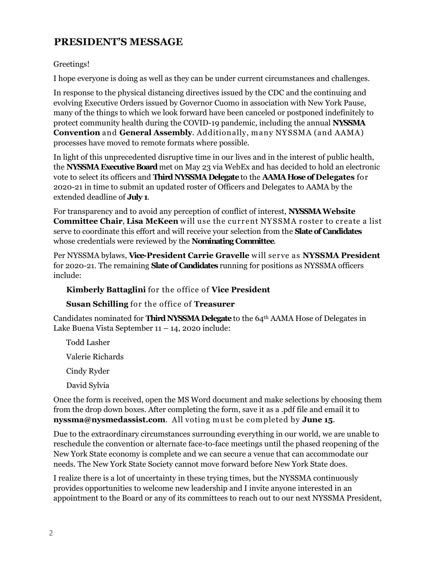# **PRESIDENT'S MESSAGE**

### Greetings!

I hope everyone is doing as well as they can be under current circumstances and challenges.

In response to the physical distancing directives issued by the CDC and the continuing and evolving Executive Orders issued by Governor Cuomo in association with New York Pause, many of the things to which we look forward have been canceled or postponed indefinitely to protect community health during the COVID-19 pandemic, including the annual **NYSSMA Convention** and **General Assembly**. Additionally, m any NYSSMA (and AAMA) processes have moved to remote formats where possible.

In light of this unprecedented disruptive time in our lives and in the interest of public health, the **NYSSMA Executive Board** met on May 23 via WebEx and has decided to hold an electronic vote to select its officers and **Third NYSSMA Delegate** to the **AAMA Hose of Delegates** for 2020-21 in time to submit an updated roster of Officers and Delegates to AAMA by the extended deadline of **July 1**.

For transparency and to avoid any perception of conflict of interest, **NYSSMAWebsite Committee Chair, Lisa McKeen** will use the current NYSSMA roster to create a list serve to coordinate this effort and will receive your selection from the **Slate of Candidates**  whose credentials were reviewed by the **Nominating Committee**.

Per NYSSMA bylaws, **Vice-President Carrie Gravelle** will serve as **NYSSMA President** for 2020-21. The remaining **Slate of Candidates** running for positions as NYSSMA officers include:

### **Kimberly Battaglini** for the office of **Vice President**

**Susan Schilling** for the office of **Treasurer**

Candidates nominated for **Third NYSSMA Delegate** to the 64th AAMA Hose of Delegates in Lake Buena Vista September 11 – 14, 2020 include:

Todd Lasher

Valerie Richards

Cindy Ryder

David Sylvia

Once the form is received, open the MS Word document and make selections by choosing them from the drop down boxes. After completing the form, save it as a .pdf file and email it to **nyssma@nysmedassist.com**. All voting m ust be com pleted by **June 15**.

Due to the extraordinary circumstances surrounding everything in our world, we are unable to reschedule the convention or alternate face-to-face meetings until the phased reopening of the New York State economy is complete and we can secure a venue that can accommodate our needs. The New York State Society cannot move forward before New York State does.

I realize there is a lot of uncertainty in these trying times, but the NYSSMA continuously provides opportunities to welcome new leadership and I invite anyone interested in an appointment to the Board or any of its committees to reach out to our next NYSSMA President,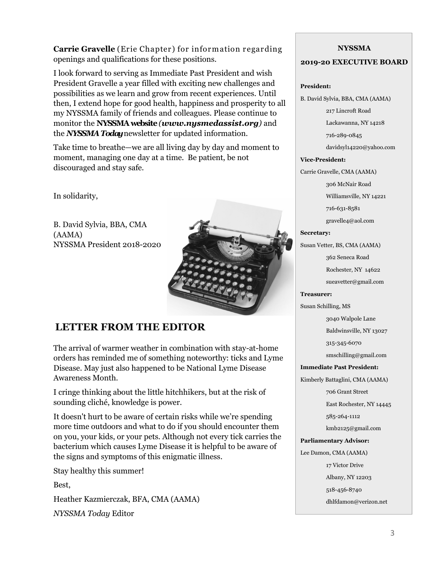**Carrie Gravelle** (Erie Chapter) for inform ation regarding openings and qualifications for these positions.

I look forward to serving as Immediate Past President and wish President Gravelle a year filled with exciting new challenges and possibilities as we learn and grow from recent experiences. Until then, I extend hope for good health, happiness and prosperity to all my NYSSMA family of friends and colleagues. Please continue to monitor the **NYSSMA website** *(www.nysmedassist.org)* and the *NYSSMA Today* newsletter for updated information.

Take time to breathe—we are all living day by day and moment to moment, managing one day at a time. Be patient, be not discouraged and stay safe.

In solidarity,

B. David Sylvia, BBA, CMA (AAMA) NYSSMA President 2018-2020



# **LETTER FROM THE EDITOR**

The arrival of warmer weather in combination with stay-at-home orders has reminded me of something noteworthy: ticks and Lyme Disease. May just also happened to be National Lyme Disease Awareness Month.

I cringe thinking about the little hitchhikers, but at the risk of sounding cliché, knowledge is power.

It doesn't hurt to be aware of certain risks while we're spending more time outdoors and what to do if you should encounter them on you, your kids, or your pets. Although not every tick carries the bacterium which causes Lyme Disease it is helpful to be aware of the signs and symptoms of this enigmatic illness.

Stay healthy this summer!

Best,

Heather Kazmierczak, BFA, CMA (AAMA)

*NYSSMA Today* Editor

### **NYSSMA**

### **2019-20 EXECUTIVE BOARD**

### **President:**

B. David Sylvia, BBA, CMA (AAMA)

217 Lincroft Road

Lackawanna, NY 14218

716-289-0845

davidsyl14220@yahoo.com

### **Vice-President:**

Carrie Gravelle, CMA (AAMA)

306 McNair Road

Williamsville, NY 14221

716-631-8581

gravelle4@aol.com

### **Secretary:**

Susan Vetter, BS, CMA (AAMA)

362 Seneca Road

Rochester, NY 14622

sueavetter@gmail.com

### **Treasurer:**

Susan Schilling, MS

3040 Walpole Lane

Baldwinsville, NY 13027

315-345-6070

smschilling@gmail.com

### **Immediate Past President:**

Kimberly Battaglini, CMA (AAMA)

706 Grant Street

East Rochester, NY 14445

585-264-1112

kmb2125@gmail.com

### **Parliamentary Advisor:**

Lee Damon, CMA (AAMA)

17 Victor Drive

Albany, NY 12203

518-456-8740

dhlfdamon@verizon.net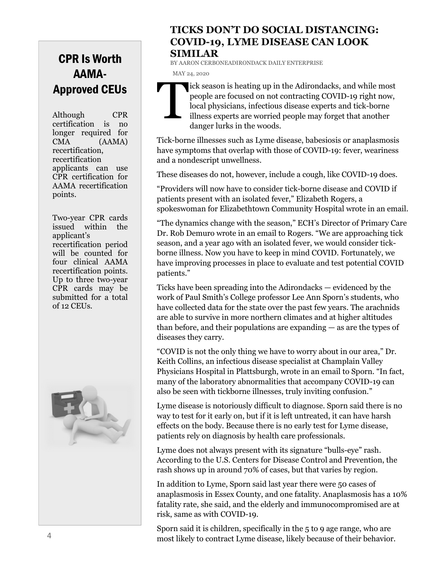# CPR Is Worth AAMA-Approved CEUs

Although CPR certification is no longer required for CMA (AAMA) recertification, recertification applicants can use CPR certification for AAMA recertification points.

Two-year CPR cards issued within the applicant's recertification period will be counted for four clinical AAMA recertification points. Up to three two-year CPR cards may be submitted for a total of 12 CEUs.



## **TICKS DON'T DO SOCIAL DISTANCING: COVID-19, LYME DISEASE CAN LOOK SIMILAR**

BY AARON CERBONEADIRONDACK DAILY ENTERPRISE MAY 24, 2020



ick season is heating up in the Adirondacks, and while most people are focused on not contracting COVID-19 right now, local physicians, infectious disease experts and tick-borne illness experts are worried people may forget that another danger lurks in the woods.

Tick-borne illnesses such as Lyme disease, babesiosis or anaplasmosis have symptoms that overlap with those of COVID-19: fever, weariness and a nondescript unwellness.

These diseases do not, however, include a cough, like COVID-19 does.

"Providers will now have to consider tick-borne disease and COVID if patients present with an isolated fever," Elizabeth Rogers, a spokeswoman for Elizabethtown Community Hospital wrote in an email.

"The dynamics change with the season," ECH's Director of Primary Care Dr. Rob Demuro wrote in an email to Rogers. "We are approaching tick season, and a year ago with an isolated fever, we would consider tickborne illness. Now you have to keep in mind COVID. Fortunately, we have improving processes in place to evaluate and test potential COVID patients."

Ticks have been spreading into the Adirondacks — evidenced by the work of Paul Smith's College professor Lee Ann Sporn's students, who have collected data for the state over the past few years. The arachnids are able to survive in more northern climates and at higher altitudes than before, and their populations are expanding — as are the types of diseases they carry.

"COVID is not the only thing we have to worry about in our area," Dr. Keith Collins, an infectious disease specialist at Champlain Valley Physicians Hospital in Plattsburgh, wrote in an email to Sporn. "In fact, many of the laboratory abnormalities that accompany COVID-19 can also be seen with tickborne illnesses, truly inviting confusion."

Lyme disease is notoriously difficult to diagnose. Sporn said there is no way to test for it early on, but if it is left untreated, it can have harsh effects on the body. Because there is no early test for Lyme disease, patients rely on diagnosis by health care professionals.

Lyme does not always present with its signature "bulls-eye" rash. According to the U.S. Centers for Disease Control and Prevention, the rash shows up in around 70% of cases, but that varies by region.

In addition to Lyme, Sporn said last year there were 50 cases of anaplasmosis in Essex County, and one fatality. Anaplasmosis has a 10% fatality rate, she said, and the elderly and immunocompromised are at risk, same as with COVID-19.

Sporn said it is children, specifically in the 5 to 9 age range, who are most likely to contract Lyme disease, likely because of their behavior.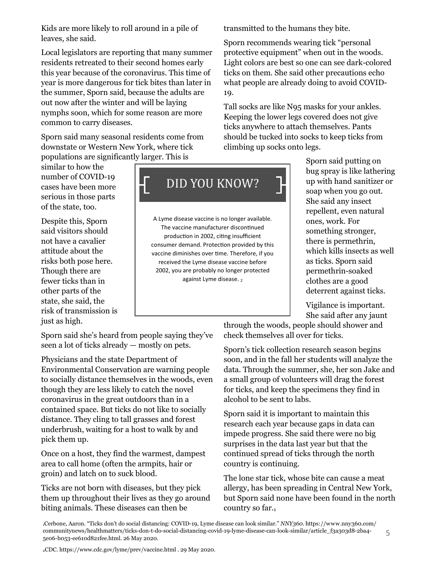Kids are more likely to roll around in a pile of leaves, she said.

Local legislators are reporting that many summer residents retreated to their second homes early this year because of the coronavirus. This time of year is more dangerous for tick bites than later in the summer, Sporn said, because the adults are out now after the winter and will be laying nymphs soon, which for some reason are more common to carry diseases.

Sporn said many seasonal residents come from downstate or Western New York, where tick populations are significantly larger. This is

similar to how the number of COVID-19 cases have been more serious in those parts of the state, too.

Despite this, Sporn said visitors should not have a cavalier attitude about the risks both pose here. Though there are fewer ticks than in other parts of the state, she said, the risk of transmission is just as high.

Sporn said she's heard from people saying they've seen a lot of ticks already — mostly on pets.

Physicians and the state Department of Environmental Conservation are warning people to socially distance themselves in the woods, even though they are less likely to catch the novel coronavirus in the great outdoors than in a contained space. But ticks do not like to socially distance. They cling to tall grasses and forest underbrush, waiting for a host to walk by and pick them up.

Once on a host, they find the warmest, dampest area to call home (often the armpits, hair or groin) and latch on to suck blood.

Ticks are not born with diseases, but they pick them up throughout their lives as they go around biting animals. These diseases can then be

transmitted to the humans they bite.

Sporn recommends wearing tick "personal protective equipment" when out in the woods. Light colors are best so one can see dark-colored ticks on them. She said other precautions echo what people are already doing to avoid COVID-19.

Tall socks are like N95 masks for your ankles. Keeping the lower legs covered does not give ticks anywhere to attach themselves. Pants should be tucked into socks to keep ticks from climbing up socks onto legs.

> Sporn said putting on bug spray is like lathering up with hand sanitizer or soap when you go out. She said any insect repellent, even natural ones, work. For something stronger, there is permethrin, which kills insects as well as ticks. Sporn said permethrin-soaked clothes are a good deterrent against ticks.

Vigilance is important. She said after any jaunt

through the woods, people should shower and check themselves all over for ticks.

Sporn's tick collection research season begins soon, and in the fall her students will analyze the data. Through the summer, she, her son Jake and a small group of volunteers will drag the forest for ticks, and keep the specimens they find in alcohol to be sent to labs.

Sporn said it is important to maintain this research each year because gaps in data can impede progress. She said there were no big surprises in the data last year but that the continued spread of ticks through the north country is continuing.

The lone star tick, whose bite can cause a meat allergy, has been spreading in Central New York, but Sporn said none have been found in the north country so far.1

<sup>1</sup>Cerbone, Aaron. "Ticks don't do social distancing: COVID-19, Lyme disease can look similar." *NNY360*. https://www.nny360.com/ communitynews/healthmatters/ticks-don-t-do-social-distancing-covid-19-lyme-disease-can-look-similar/article\_f3a303d8-2ba4- 5e06-b053-ee610d821fee.html. 26 May 2020.

2CDC. https://www.cdc.gov/lyme/prev/vaccine.html . 29 May 2020.

# DID YOU KNOW?

A Lyme disease vaccine is no longer available. The vaccine manufacturer discontinued production in 2002, citing insufficient consumer demand. Protection provided by this vaccine diminishes over time. Therefore, if you received the Lyme disease vaccine before 2002, you are probably no longer protected against Lyme disease. 2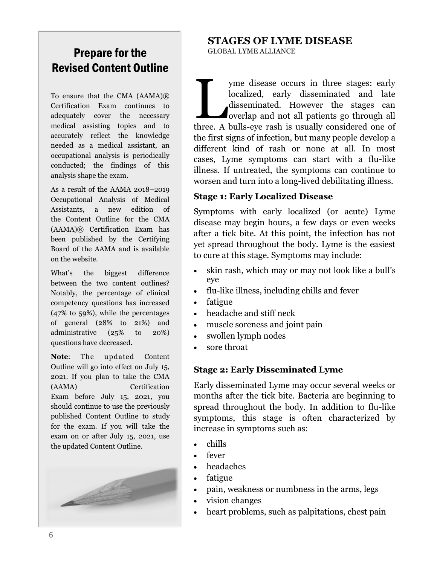# Prepare for the Revised Content Outline

To ensure that the CMA (AAMA)® Certification Exam continues to adequately cover the necessary medical assisting topics and to accurately reflect the knowledge needed as a medical assistant, an occupational analysis is periodically conducted; the findings of this analysis shape the exam.

As a result of the AAMA 2018–2019 Occupational Analysis of Medical Assistants, a new edition of the Content Outline for the CMA (AAMA)® Certification Exam has been published by the Certifying Board of the AAMA and is available on the website.

What's the biggest difference between the two content outlines? Notably, the percentage of clinical competency questions has increased (47% to 59%), while the percentages of general (28% to 21%) and administrative (25% to 20%) questions have decreased.

**Note**: The updated Content Outline will go into effect on July 15, 2021. If you plan to take the CMA (AAMA) Certification Exam before July 15, 2021, you should continue to use the previously published Content Outline to study for the exam. If you will take the exam on or after July 15, 2021, use the updated Content Outline.



### **STAGES OF LYME DISEASE** GLOBAL LYME ALLIANCE

yme disease occurs in three stages: early localized, early disseminated and late disseminated. However the stages can overlap and not all patients go through all three. A bulls-eye rash is usually considered one of yme disease occurs in three stages: early localized, early disseminated and late disseminated. However the stages can overlap and not all patients go through all the first signs of infection, but many people develop a different kind of rash or none at all. In most cases, Lyme symptoms can start with a flu-like illness. If untreated, the symptoms can continue to worsen and turn into a long-lived debilitating illness.

## **Stage 1: Early Localized Disease**

Symptoms with early localized (or acute) Lyme disease may begin hours, a few days or even weeks after a tick bite. At this point, the infection has not yet spread throughout the body. Lyme is the easiest to cure at this stage. Symptoms may include:

- skin rash, which may or may not look like a bull's eye
- flu-like illness, including chills and fever
- fatigue
- headache and stiff neck
- muscle soreness and joint pain
- swollen lymph nodes
- sore throat

### **Stage 2: Early Disseminated Lyme**

Early disseminated Lyme may occur several weeks or months after the tick bite. Bacteria are beginning to spread throughout the body. In addition to flu-like symptoms, this stage is often characterized by increase in symptoms such as:

- chills
- fever
- headaches
- fatigue
- pain, weakness or numbness in the arms, legs
- vision changes
- heart problems, such as palpitations, chest pain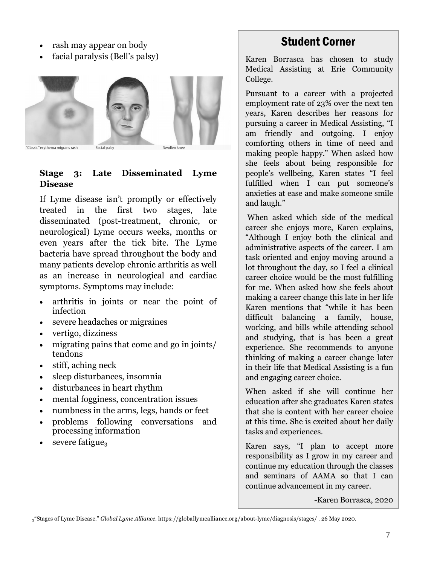- rash may appear on body
- facial paralysis (Bell's palsy)



"Classic" erythema migrans rash

Facial palsy

### **Stage 3: Late Disseminated Lyme Disease**

If Lyme disease isn't promptly or effectively treated in the first two stages, late disseminated (post-treatment, chronic, or neurological) Lyme occurs weeks, months or even years after the tick bite. The Lyme bacteria have spread throughout the body and many patients develop chronic arthritis as well as an increase in neurological and cardiac symptoms. Symptoms may include:

- arthritis in joints or near the point of infection
- severe headaches or migraines
- vertigo, dizziness
- migrating pains that come and go in joints/ tendons
- stiff, aching neck
- sleep disturbances, insomnia
- disturbances in heart rhythm
- mental fogginess, concentration issues
- numbness in the arms, legs, hands or feet
- problems following conversations and processing information
- severe fatigue $_3$

# Student Corner

Karen Borrasca has chosen to study Medical Assisting at Erie Community College.

Pursuant to a career with a projected employment rate of 23% over the next ten years, Karen describes her reasons for pursuing a career in Medical Assisting, "I am friendly and outgoing. I enjoy comforting others in time of need and making people happy." When asked how she feels about being responsible for people's wellbeing, Karen states "I feel fulfilled when I can put someone's anxieties at ease and make someone smile and laugh."

When asked which side of the medical career she enjoys more, Karen explains, "Although I enjoy both the clinical and administrative aspects of the career. I am task oriented and enjoy moving around a lot throughout the day, so I feel a clinical career choice would be the most fulfilling for me. When asked how she feels about making a career change this late in her life Karen mentions that "while it has been difficult balancing a family, house, working, and bills while attending school and studying, that is has been a great experience. She recommends to anyone thinking of making a career change later in their life that Medical Assisting is a fun and engaging career choice.

When asked if she will continue her education after she graduates Karen states that she is content with her career choice at this time. She is excited about her daily tasks and experiences.

Karen says, "I plan to accept more responsibility as I grow in my career and continue my education through the classes and seminars of AAMA so that I can continue advancement in my career.

-Karen Borrasca, 2020

<sup>3</sup>"Stages of Lyme Disease." *Global Lyme Alliance.* https://globallymealliance.org/about-lyme/diagnosis/stages/ . 26 May 2020.